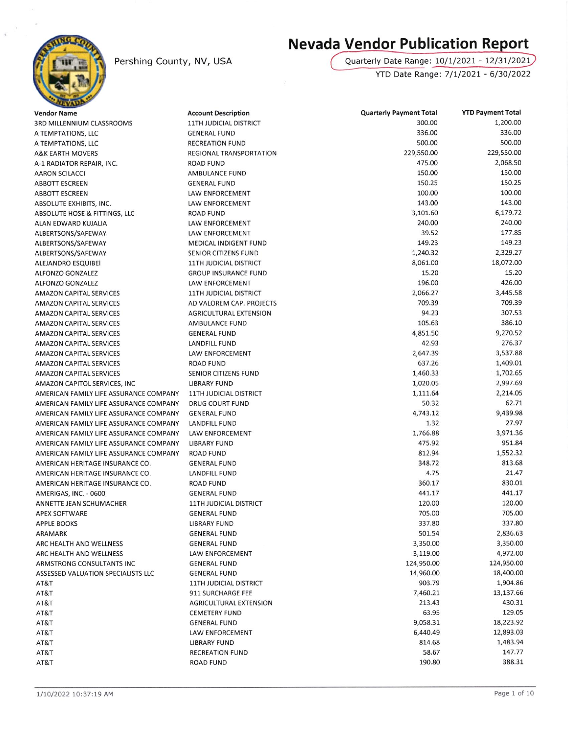

## Pershing County, NV, USA

## **Nevada Vendor Publication Report**

Quarterly Date Range: 10/1/2021 - 12/31/2021 YTD Date Range: 7/1/2021 - 6/30/2022

| <b>Vendor Name</b>                     | <b>Account Description</b>                 | <b>Quarterly Payment Total</b> | <b>YTD Payment Total</b> |
|----------------------------------------|--------------------------------------------|--------------------------------|--------------------------|
| 3RD MILLENNIUM CLASSROOMS              | <b>11TH JUDICIAL DISTRICT</b>              | 300.00                         | 1,200.00                 |
| A TEMPTATIONS, LLC                     | <b>GENERAL FUND</b>                        | 336.00                         | 336.00                   |
| A TEMPTATIONS, LLC                     | <b>RECREATION FUND</b>                     | 500.00                         | 500.00                   |
| <b>A&amp;K EARTH MOVERS</b>            | REGIONAL TRANSPORTATION                    | 229,550.00                     | 229,550.00               |
| A-1 RADIATOR REPAIR, INC.              | <b>ROAD FUND</b>                           | 475.00                         | 2,068.50                 |
| <b>AARON SCILACCI</b>                  | AMBULANCE FUND                             | 150.00                         | 150.00                   |
| <b>ABBOTT ESCREEN</b>                  | <b>GENERAL FUND</b>                        | 150.25                         | 150.25                   |
| ABBOTT ESCREEN                         | LAW ENFORCEMENT                            | 100.00                         | 100.00                   |
| ABSOLUTE EXHIBITS, INC.                | LAW ENFORCEMENT                            | 143.00                         | 143.00                   |
| ABSOLUTE HOSE & FITTINGS, LLC          | <b>ROAD FUND</b>                           | 3,101.60                       | 6,179.72                 |
| ALAN EDWARD KUJALIA                    | LAW ENFORCEMENT                            | 240.00                         | 240.00                   |
| ALBERTSONS/SAFEWAY                     | LAW ENFORCEMENT                            | 39.52                          | 177.85                   |
| ALBERTSONS/SAFEWAY                     | <b>MEDICAL INDIGENT FUND</b>               | 149.23                         | 149.23                   |
| ALBERTSONS/SAFEWAY                     | SENIOR CITIZENS FUND                       | 1,240.32                       | 2,329.27                 |
| ALEJANDRO ESQUIBEI                     | <b>11TH JUDICIAL DISTRICT</b>              | 8,061.00                       | 18,072.00                |
| <b>ALFONZO GONZALEZ</b>                | <b>GROUP INSURANCE FUND</b>                | 15.20                          | 15.20                    |
| ALFONZO GONZALEZ                       | LAW ENFORCEMENT                            | 196.00                         | 426.00                   |
| <b>AMAZON CAPITAL SERVICES</b>         | <b>11TH JUDICIAL DISTRICT</b>              | 2,066.27                       | 3,445.58                 |
| <b>AMAZON CAPITAL SERVICES</b>         | AD VALOREM CAP. PROJECTS                   | 709.39                         | 709.39                   |
| <b>AMAZON CAPITAL SERVICES</b>         | <b>AGRICULTURAL EXTENSION</b>              | 94.23                          | 307.53                   |
| <b>AMAZON CAPITAL SERVICES</b>         | AMBULANCE FUND                             | 105.63                         | 386.10                   |
| <b>AMAZON CAPITAL SERVICES</b>         | <b>GENERAL FUND</b>                        | 4,851.50                       | 9,270.52                 |
| <b>AMAZON CAPITAL SERVICES</b>         | LANDFILL FUND                              | 42.93                          | 276.37                   |
| <b>AMAZON CAPITAL SERVICES</b>         | LAW ENFORCEMENT                            | 2,647.39                       | 3,537.88                 |
| <b>AMAZON CAPITAL SERVICES</b>         | <b>ROAD FUND</b>                           | 637.26                         | 1,409.01                 |
| <b>AMAZON CAPITAL SERVICES</b>         | SENIOR CITIZENS FUND                       | 1,460.33                       | 1,702.65                 |
| AMAZON CAPITOL SERVICES, INC.          | <b>LIBRARY FUND</b>                        | 1,020.05                       | 2,997.69                 |
| AMERICAN FAMILY LIFE ASSURANCE COMPANY | <b>11TH JUDICIAL DISTRICT</b>              | 1,111.64                       | 2,214.05                 |
| AMERICAN FAMILY LIFE ASSURANCE COMPANY | DRUG COURT FUND                            | 50.32                          | 62.71                    |
| AMERICAN FAMILY LIFE ASSURANCE COMPANY | <b>GENERAL FUND</b>                        | 4,743.12                       | 9,439.98                 |
| AMERICAN FAMILY LIFE ASSURANCE COMPANY | <b>LANDFILL FUND</b>                       | 1.32                           | 27.97                    |
| AMERICAN FAMILY LIFE ASSURANCE COMPANY | LAW ENFORCEMENT                            | 1,766.88                       | 3,971.36                 |
| AMERICAN FAMILY LIFE ASSURANCE COMPANY | <b>LIBRARY FUND</b>                        | 475.92                         | 951.84                   |
| AMERICAN FAMILY LIFE ASSURANCE COMPANY | <b>ROAD FUND</b>                           | 812.94                         | 1,552.32                 |
| AMERICAN HERITAGE INSURANCE CO.        | <b>GENERAL FUND</b>                        | 348.72                         | 813.68                   |
| AMERICAN HERITAGE INSURANCE CO.        | LANDFILL FUND                              | 4.75                           | 21.47                    |
| AMERICAN HERITAGE INSURANCE CO.        | ROAD FUND                                  | 360.17                         | 830.01                   |
| AMERIGAS, INC. - 0600                  | <b>GENERAL FUND</b>                        | 441.17                         | 441.17                   |
| ANNETTE JEAN SCHUMACHER                | <b>11TH JUDICIAL DISTRICT</b>              | 120.00                         | 120.00                   |
| <b>APEX SOFTWARE</b>                   | <b>GENERAL FUND</b>                        | 705.00                         | 705.00                   |
| <b>APPLE BOOKS</b>                     | <b>LIBRARY FUND</b>                        | 337.80                         | 337.80                   |
| ARAMARK                                | <b>GENERAL FUND</b>                        | 501.54                         | 2,836.63                 |
| ARC HEALTH AND WELLNESS                | <b>GENERAL FUND</b>                        | 3,350.00                       | 3,350.00                 |
| ARC HEALTH AND WELLNESS                | <b>LAW ENFORCEMENT</b>                     | 3,119.00                       | 4,972.00                 |
| ARMSTRONG CONSULTANTS INC              | <b>GENERAL FUND</b>                        | 124,950.00                     | 124,950.00               |
| ASSESSED VALUATION SPECIALISTS LLC     | <b>GENERAL FUND</b>                        | 14,960.00                      | 18,400.00                |
| AT&T                                   | <b>11TH JUDICIAL DISTRICT</b>              | 903.79                         | 1,904.86                 |
| AT&T                                   | 911 SURCHARGE FEE                          | 7,460.21                       | 13,137.66                |
| AT&T                                   | <b>AGRICULTURAL EXTENSION</b>              | 213.43                         | 430.31                   |
| AT&T                                   | <b>CEMETERY FUND</b>                       | 63.95                          | 129.05                   |
| AT&T                                   | <b>GENERAL FUND</b>                        | 9,058.31                       | 18,223.92                |
| AT&T                                   | LAW ENFORCEMENT                            | 6,440.49                       | 12,893.03                |
| AT&T                                   | <b>LIBRARY FUND</b>                        | 814.68<br>58.67                | 1,483.94<br>147.77       |
| AT&T<br>AT&T                           | <b>RECREATION FUND</b><br><b>ROAD FUND</b> | 190.80                         | 388.31                   |
|                                        |                                            |                                |                          |